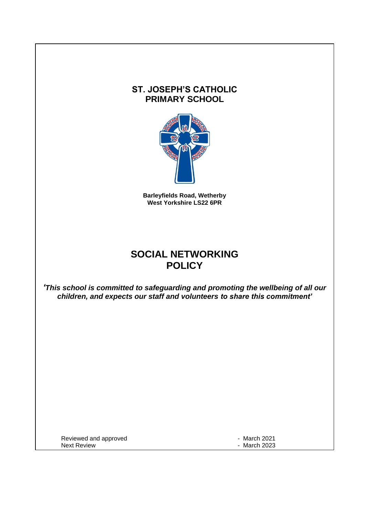## **ST. JOSEPH'S CATHOLIC PRIMARY SCHOOL**



**Barleyfields Road, Wetherby West Yorkshire LS22 6PR**

# **SOCIAL NETWORKING POLICY**

*'This school is committed to safeguarding and promoting the wellbeing of all our children, and expects our staff and volunteers to share this commitment'*

Reviewed and approved **Accord 2021 Reviewed and approved Fig. 2021**<br>Next Review **Accord 2023** 

- March 2023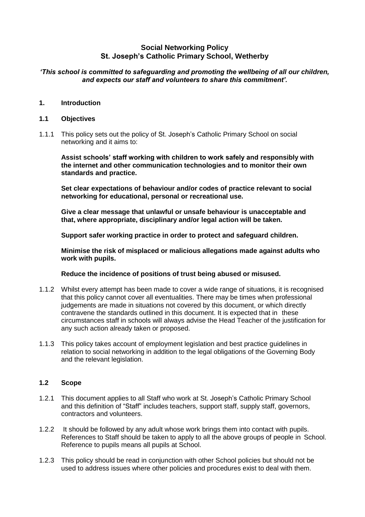### **Social Networking Policy St. Joseph's Catholic Primary School, Wetherby**

#### *'This school is committed to safeguarding and promoting the wellbeing of all our children, and expects our staff and volunteers to share this commitment'.*

#### **1. Introduction**

#### **1.1 Objectives**

1.1.1 This policy sets out the policy of St. Joseph's Catholic Primary School on social networking and it aims to:

**Assist schools' staff working with children to work safely and responsibly with the internet and other communication technologies and to monitor their own standards and practice.**

**Set clear expectations of behaviour and/or codes of practice relevant to social networking for educational, personal or recreational use.**

**Give a clear message that unlawful or unsafe behaviour is unacceptable and that, where appropriate, disciplinary and/or legal action will be taken.**

**Support safer working practice in order to protect and safeguard children.**

**Minimise the risk of misplaced or malicious allegations made against adults who work with pupils.**

**Reduce the incidence of positions of trust being abused or misused.**

- 1.1.2 Whilst every attempt has been made to cover a wide range of situations, it is recognised that this policy cannot cover all eventualities. There may be times when professional judgements are made in situations not covered by this document, or which directly contravene the standards outlined in this document. It is expected that in these circumstances staff in schools will always advise the Head Teacher of the justification for any such action already taken or proposed.
- 1.1.3 This policy takes account of employment legislation and best practice guidelines in relation to social networking in addition to the legal obligations of the Governing Body and the relevant legislation.

#### **1.2 Scope**

- 1.2.1 This document applies to all Staff who work at St. Joseph's Catholic Primary School and this definition of "Staff" includes teachers, support staff, supply staff, governors, contractors and volunteers.
- 1.2.2 It should be followed by any adult whose work brings them into contact with pupils. References to Staff should be taken to apply to all the above groups of people in School. Reference to pupils means all pupils at School.
- 1.2.3 This policy should be read in conjunction with other School policies but should not be used to address issues where other policies and procedures exist to deal with them.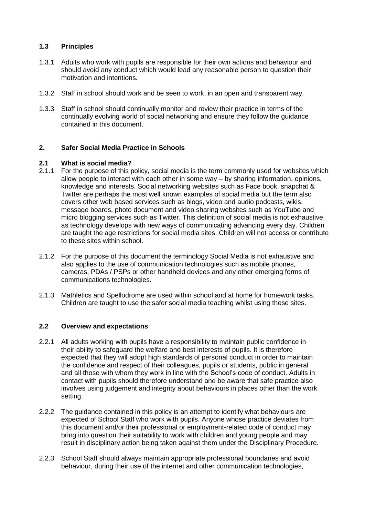#### **1.3 Principles**

- 1.3.1 Adults who work with pupils are responsible for their own actions and behaviour and should avoid any conduct which would lead any reasonable person to question their motivation and intentions.
- 1.3.2 Staff in school should work and be seen to work, in an open and transparent way.
- 1.3.3 Staff in school should continually monitor and review their practice in terms of the continually evolving world of social networking and ensure they follow the guidance contained in this document.

#### **2. Safer Social Media Practice in Schools**

#### **2.1 What is social media?**

- 2.1.1 For the purpose of this policy, social media is the term commonly used for websites which allow people to interact with each other in some way – by sharing information, opinions, knowledge and interests. Social networking websites such as Face book, snapchat & Twitter are perhaps the most well known examples of social media but the term also covers other web based services such as blogs, video and audio podcasts, wikis, message boards, photo document and video sharing websites such as YouTube and micro blogging services such as Twitter. This definition of social media is not exhaustive as technology develops with new ways of communicating advancing every day. Children are taught the age restrictions for social media sites. Children will not access or contribute to these sites within school.
- 2.1.2 For the purpose of this document the terminology Social Media is not exhaustive and also applies to the use of communication technologies such as mobile phones, cameras, PDAs / PSPs or other handheld devices and any other emerging forms of communications technologies.
- 2.1.3 Mathletics and Spellodrome are used within school and at home for homework tasks. Children are taught to use the safer social media teaching whilst using these sites.

#### **2.2 Overview and expectations**

- 2.2.1 All adults working with pupils have a responsibility to maintain public confidence in their ability to safeguard the welfare and best interests of pupils. It is therefore expected that they will adopt high standards of personal conduct in order to maintain the confidence and respect of their colleagues, pupils or students, public in general and all those with whom they work in line with the School's code of conduct. Adults in contact with pupils should therefore understand and be aware that safe practice also involves using judgement and integrity about behaviours in places other than the work setting.
- 2.2.2 The guidance contained in this policy is an attempt to identify what behaviours are expected of School Staff who work with pupils. Anyone whose practice deviates from this document and/or their professional or employment-related code of conduct may bring into question their suitability to work with children and young people and may result in disciplinary action being taken against them under the Disciplinary Procedure.
- 2.2.3 School Staff should always maintain appropriate professional boundaries and avoid behaviour, during their use of the internet and other communication technologies,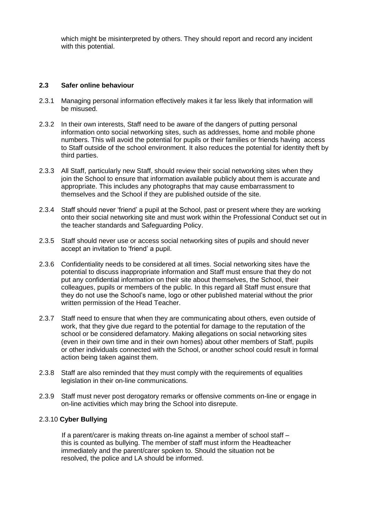which might be misinterpreted by others. They should report and record any incident with this potential.

#### **2.3 Safer online behaviour**

- 2.3.1 Managing personal information effectively makes it far less likely that information will be misused.
- 2.3.2 In their own interests, Staff need to be aware of the dangers of putting personal information onto social networking sites, such as addresses, home and mobile phone numbers. This will avoid the potential for pupils or their families or friends having access to Staff outside of the school environment. It also reduces the potential for identity theft by third parties.
- 2.3.3 All Staff, particularly new Staff, should review their social networking sites when they join the School to ensure that information available publicly about them is accurate and appropriate. This includes any photographs that may cause embarrassment to themselves and the School if they are published outside of the site.
- 2.3.4 Staff should never 'friend' a pupil at the School, past or present where they are working onto their social networking site and must work within the Professional Conduct set out in the teacher standards and Safeguarding Policy.
- 2.3.5 Staff should never use or access social networking sites of pupils and should never accept an invitation to 'friend' a pupil.
- 2.3.6 Confidentiality needs to be considered at all times. Social networking sites have the potential to discuss inappropriate information and Staff must ensure that they do not put any confidential information on their site about themselves, the School, their colleagues, pupils or members of the public. In this regard all Staff must ensure that they do not use the School's name, logo or other published material without the prior written permission of the Head Teacher.
- 2.3.7 Staff need to ensure that when they are communicating about others, even outside of work, that they give due regard to the potential for damage to the reputation of the school or be considered defamatory. Making allegations on social networking sites (even in their own time and in their own homes) about other members of Staff, pupils or other individuals connected with the School, or another school could result in formal action being taken against them.
- 2.3.8 Staff are also reminded that they must comply with the requirements of equalities legislation in their on-line communications.
- 2.3.9 Staff must never post derogatory remarks or offensive comments on-line or engage in on-line activities which may bring the School into disrepute.

#### 2.3.10 **Cyber Bullying**

 If a parent/carer is making threats on-line against a member of school staff – this is counted as bullying. The member of staff must inform the Headteacher immediately and the parent/carer spoken to. Should the situation not be resolved, the police and LA should be informed.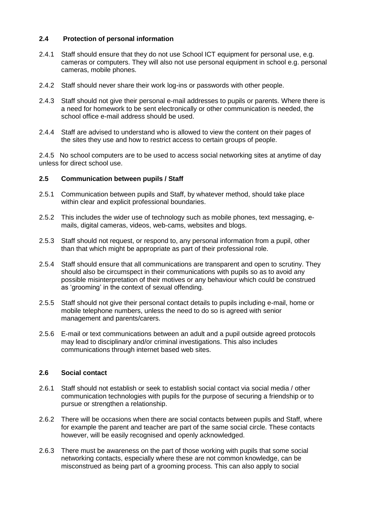#### **2.4 Protection of personal information**

- 2.4.1 Staff should ensure that they do not use School ICT equipment for personal use, e.g. cameras or computers. They will also not use personal equipment in school e.g. personal cameras, mobile phones.
- 2.4.2 Staff should never share their work log-ins or passwords with other people.
- 2.4.3 Staff should not give their personal e-mail addresses to pupils or parents. Where there is a need for homework to be sent electronically or other communication is needed, the school office e-mail address should be used.
- 2.4.4 Staff are advised to understand who is allowed to view the content on their pages of the sites they use and how to restrict access to certain groups of people.

2.4.5 No school computers are to be used to access social networking sites at anytime of day unless for direct school use.

#### **2.5 Communication between pupils / Staff**

- 2.5.1 Communication between pupils and Staff, by whatever method, should take place within clear and explicit professional boundaries.
- 2.5.2 This includes the wider use of technology such as mobile phones, text messaging, emails, digital cameras, videos, web-cams, websites and blogs.
- 2.5.3 Staff should not request, or respond to, any personal information from a pupil, other than that which might be appropriate as part of their professional role.
- 2.5.4 Staff should ensure that all communications are transparent and open to scrutiny. They should also be circumspect in their communications with pupils so as to avoid any possible misinterpretation of their motives or any behaviour which could be construed as 'grooming' in the context of sexual offending.
- 2.5.5 Staff should not give their personal contact details to pupils including e-mail, home or mobile telephone numbers, unless the need to do so is agreed with senior management and parents/carers.
- 2.5.6 E-mail or text communications between an adult and a pupil outside agreed protocols may lead to disciplinary and/or criminal investigations. This also includes communications through internet based web sites.

#### **2.6 Social contact**

- 2.6.1 Staff should not establish or seek to establish social contact via social media / other communication technologies with pupils for the purpose of securing a friendship or to pursue or strengthen a relationship.
- 2.6.2 There will be occasions when there are social contacts between pupils and Staff, where for example the parent and teacher are part of the same social circle. These contacts however, will be easily recognised and openly acknowledged.
- 2.6.3 There must be awareness on the part of those working with pupils that some social networking contacts, especially where these are not common knowledge, can be misconstrued as being part of a grooming process. This can also apply to social